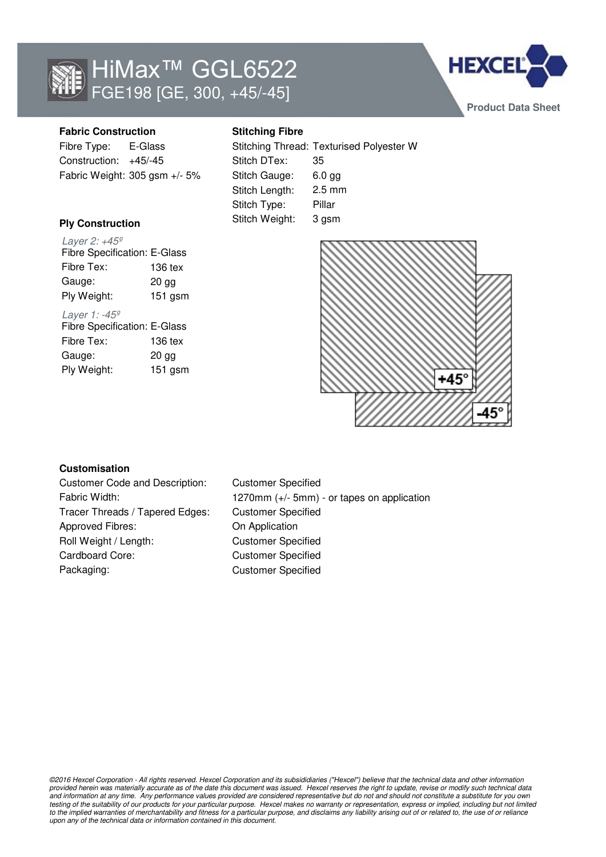



# **Fabric Construction**

Fibre Type: E-Glass Construction: +45/-45 Fabric Weight: 305 gsm +/- 5%

## **Ply Construction**

Layer 2: +45º Fibre Tex: 136 tex Gauge: 20 gg Ply Weight: 151 gsm Fibre Specification: E-Glass

#### Layer 1: -45º

Fibre Tex: 136 tex Gauge: 20 gg Ply Weight: 151 gsm Fibre Specification: E-Glass

# **Stitching Fibre**

|                | Stitching Thread: Texturised Polyester W |
|----------------|------------------------------------------|
| Stitch DTex:   | 35                                       |
| Stitch Gauge:  | $6.0$ gg                                 |
| Stitch Length: | $2.5 \text{ mm}$                         |
| Stitch Type:   | Pillar                                   |
| Stitch Weight: | 3 gsm                                    |



#### **Customisation**

Customer Code and Description: Customer Specified Tracer Threads / Tapered Edges: Customer Specified Approved Fibres: On Application Roll Weight / Length: Customer Specified Cardboard Core: Customer Specified Packaging: Customer Specified

Fabric Width: 1270mm (+/- 5mm) - or tapes on application

©2016 Hexcel Corporation - All rights reserved. Hexcel Corporation and its subsididiaries ("Hexcel") believe that the technical data and other information provided herein was materially accurate as of the date this document was issued. Hexcel reserves the right to update, revise or modify such technical data and information at any time. Any performance values provided are considered representative but do not and should not constitute a substitute for you own testing of the suitability of our products for your particular purpose. Hexcel makes no warranty or representation, express or implied, including but not limited to the implied warranties of merchantability and fitness for a particular purpose, and disclaims any liability arising out of or related to, the use of or reliance upon any of the technical data or information contained in this document.